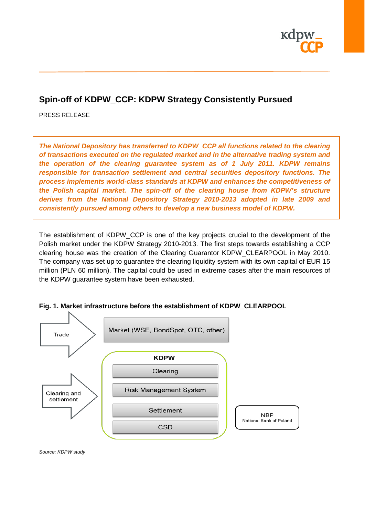

## **Spin-off of KDPW\_CCP: KDPW Strategy Consistently Pursued**

PRESS RELEASE

*The National Depository has transferred to KDPW\_CCP all functions related to the clearing of transactions executed on the regulated market and in the alternative trading system and the operation of the clearing guarantee system as of 1 July 2011. KDPW remains responsible for transaction settlement and central securities depository functions. The process implements world-class standards at KDPW and enhances the competitiveness of the Polish capital market. The spin-off of the clearing house from KDPW's structure derives from the National Depository Strategy 2010-2013 adopted in late 2009 and consistently pursued among others to develop a new business model of KDPW.*

The establishment of KDPW\_CCP is one of the key projects crucial to the development of the Polish market under the KDPW Strategy 2010-2013. The first steps towards establishing a CCP clearing house was the creation of the Clearing Guarantor KDPW\_CLEARPOOL in May 2010. The company was set up to guarantee the clearing liquidity system with its own capital of EUR 15 million (PLN 60 million). The capital could be used in extreme cases after the main resources of the KDPW guarantee system have been exhausted.



**Fig. 1. Market infrastructure before the establishment of KDPW\_CLEARPOOL**

*Source: KDPW study*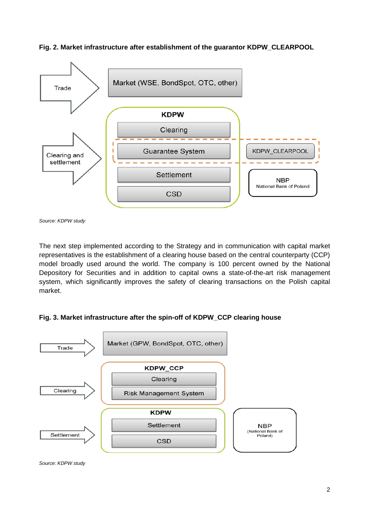**Fig. 2. Market infrastructure after establishment of the guarantor KDPW\_CLEARPOOL**



*Source: KDPW study*

The next step implemented according to the Strategy and in communication with capital market representatives is the establishment of a clearing house based on the central counterparty (CCP) model broadly used around the world. The company is 100 percent owned by the National Depository for Securities and in addition to capital owns a state-of-the-art risk management system, which significantly improves the safety of clearing transactions on the Polish capital market.

## **Fig. 3. Market infrastructure after the spin-off of KDPW\_CCP clearing house**



*Source: KDPW study*